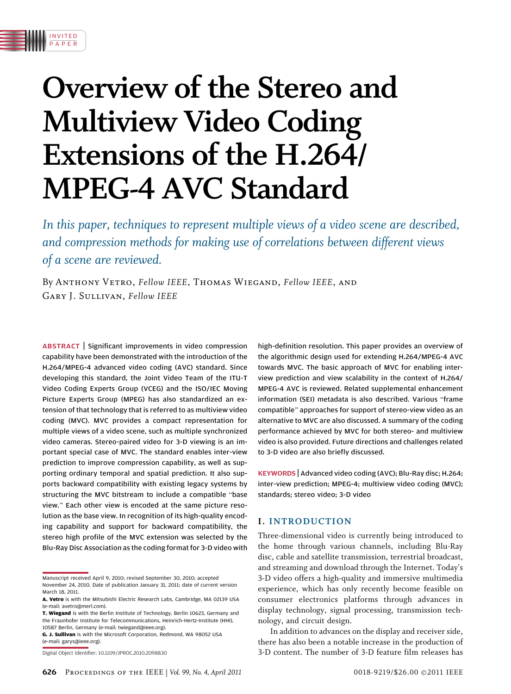# Overview of the Stereo and Multiview Video Coding Extensions of the H.264/ MPEG-4 AVC Standard

In this paper, techniques to represent multiple views of a video scene are described, and compression methods for making use of correlations between different views of a scene are reviewed.

By Anthony Vetro, Fellow IEEE, Thomas Wiegand, Fellow IEEE, and Gary J. Sullivan, Fellow IEEE

ABSTRACT | Significant improvements in video compression capability have been demonstrated with the introduction of the H.264/MPEG-4 advanced video coding (AVC) standard. Since developing this standard, the Joint Video Team of the ITU-T Video Coding Experts Group (VCEG) and the ISO/IEC Moving Picture Experts Group (MPEG) has also standardized an extension of that technology that is referred to as multiview video coding (MVC). MVC provides a compact representation for multiple views of a video scene, such as multiple synchronized video cameras. Stereo-paired video for 3-D viewing is an important special case of MVC. The standard enables inter-view prediction to improve compression capability, as well as supporting ordinary temporal and spatial prediction. It also supports backward compatibility with existing legacy systems by structuring the MVC bitstream to include a compatible "base view." Each other view is encoded at the same picture resolution as the base view. In recognition of its high-quality encoding capability and support for backward compatibility, the stereo high profile of the MVC extension was selected by the Blu-Ray Disc Association as the coding format for 3-D video with

INVITED PAPER

high-definition resolution. This paper provides an overview of the algorithmic design used for extending H.264/MPEG-4 AVC towards MVC. The basic approach of MVC for enabling interview prediction and view scalability in the context of H.264/ MPEG-4 AVC is reviewed. Related supplemental enhancement information (SEI) metadata is also described. Various "frame compatible" approaches for support of stereo-view video as an alternative to MVC are also discussed. A summary of the coding performance achieved by MVC for both stereo- and multiview video is also provided. Future directions and challenges related to 3-D video are also briefly discussed.

KEYWORDS | Advanced video coding (AVC); Blu-Ray disc; H.264; inter-view prediction; MPEG-4; multiview video coding (MVC); standards; stereo video; 3-D video

# I. INTRODUCTION

Three-dimensional video is currently being introduced to the home through various channels, including Blu-Ray disc, cable and satellite transmission, terrestrial broadcast, and streaming and download through the Internet. Today's 3-D video offers a high-quality and immersive multimedia experience, which has only recently become feasible on consumer electronics platforms through advances in display technology, signal processing, transmission technology, and circuit design.

In addition to advances on the display and receiver side, there has also been a notable increase in the production of 3-D content. The number of 3-D feature film releases has

Manuscript received April 9, 2010; revised September 30, 2010; accepted November 24, 2010. Date of publication January 31, 2011; date of current version March 18, 2011.

A. Vetro is with the Mitsubishi Electric Research Labs, Cambridge, MA 02139 USA (e-mail: avetro@merl.com).

T. Wiegand is with the Berlin Institute of Technology, Berlin 10623, Germany and the Fraunhofer Institute for Telecommunications, Heinrich-Hertz-Institute (HHI), 10587 Berlin, Germany (e-mail: twiegand@ieee.org).

G. J. Sullivan is with the Microsoft Corporation, Redmond, WA 98052 USA (e-mail: garys@ieee.org).

Digital Object Identifier: 10.1109/JPROC.2010.2098830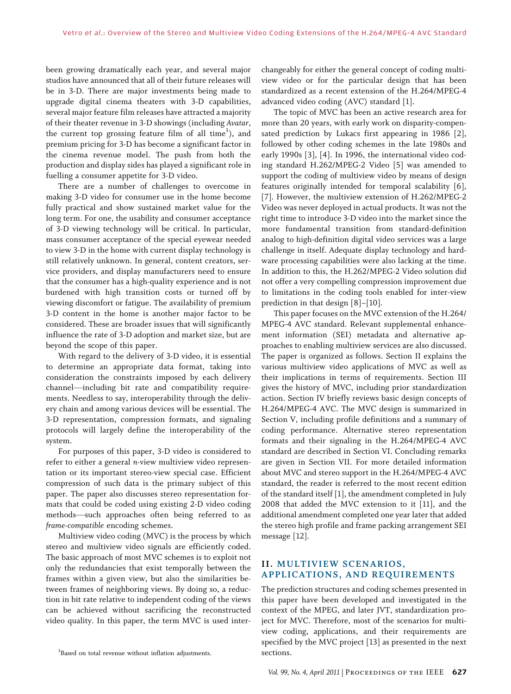been growing dramatically each year, and several major studios have announced that all of their future releases will be in 3-D. There are major investments being made to upgrade digital cinema theaters with 3-D capabilities, several major feature film releases have attracted a majority of their theater revenue in 3-D showings (including Avatar, the current top grossing feature film of all time<sup>1</sup>), and premium pricing for 3-D has become a significant factor in the cinema revenue model. The push from both the production and display sides has played a significant role in fuelling a consumer appetite for 3-D video.

There are a number of challenges to overcome in making 3-D video for consumer use in the home become fully practical and show sustained market value for the long term. For one, the usability and consumer acceptance of 3-D viewing technology will be critical. In particular, mass consumer acceptance of the special eyewear needed to view 3-D in the home with current display technology is still relatively unknown. In general, content creators, service providers, and display manufacturers need to ensure that the consumer has a high-quality experience and is not burdened with high transition costs or turned off by viewing discomfort or fatigue. The availability of premium 3-D content in the home is another major factor to be considered. These are broader issues that will significantly influence the rate of 3-D adoption and market size, but are beyond the scope of this paper.

With regard to the delivery of 3-D video, it is essential to determine an appropriate data format, taking into consideration the constraints imposed by each delivery channel-including bit rate and compatibility requirements. Needless to say, interoperability through the delivery chain and among various devices will be essential. The 3-D representation, compression formats, and signaling protocols will largely define the interoperability of the system.

For purposes of this paper, 3-D video is considered to refer to either a general n-view multiview video representation or its important stereo-view special case. Efficient compression of such data is the primary subject of this paper. The paper also discusses stereo representation formats that could be coded using existing 2-D video coding methods-such approaches often being referred to as frame-compatible encoding schemes.

Multiview video coding (MVC) is the process by which stereo and multiview video signals are efficiently coded. The basic approach of most MVC schemes is to exploit not only the redundancies that exist temporally between the frames within a given view, but also the similarities between frames of neighboring views. By doing so, a reduction in bit rate relative to independent coding of the views can be achieved without sacrificing the reconstructed video quality. In this paper, the term MVC is used interchangeably for either the general concept of coding multiview video or for the particular design that has been standardized as a recent extension of the H.264/MPEG-4 advanced video coding (AVC) standard [1].

The topic of MVC has been an active research area for more than 20 years, with early work on disparity-compensated prediction by Lukacs first appearing in 1986 [2], followed by other coding schemes in the late 1980s and early 1990s [3], [4]. In 1996, the international video coding standard H.262/MPEG-2 Video [5] was amended to support the coding of multiview video by means of design features originally intended for temporal scalability [6], [7]. However, the multiview extension of H.262/MPEG-2 Video was never deployed in actual products. It was not the right time to introduce 3-D video into the market since the more fundamental transition from standard-definition analog to high-definition digital video services was a large challenge in itself. Adequate display technology and hardware processing capabilities were also lacking at the time. In addition to this, the H.262/MPEG-2 Video solution did not offer a very compelling compression improvement due to limitations in the coding tools enabled for inter-view prediction in that design [8]–[10].

This paper focuses on the MVC extension of the H.264/ MPEG-4 AVC standard. Relevant supplemental enhancement information (SEI) metadata and alternative approaches to enabling multiview services are also discussed. The paper is organized as follows. Section II explains the various multiview video applications of MVC as well as their implications in terms of requirements. Section III gives the history of MVC, including prior standardization action. Section IV briefly reviews basic design concepts of H.264/MPEG-4 AVC. The MVC design is summarized in Section V, including profile definitions and a summary of coding performance. Alternative stereo representation formats and their signaling in the H.264/MPEG-4 AVC standard are described in Section VI. Concluding remarks are given in Section VII. For more detailed information about MVC and stereo support in the H.264/MPEG-4 AVC standard, the reader is referred to the most recent edition of the standard itself [1], the amendment completed in July 2008 that added the MVC extension to it [11], and the additional amendment completed one year later that added the stereo high profile and frame packing arrangement SEI message [12].

# II. MULTIVIEW SCENARIOS, APPLICATIONS, AND REQUIREMENTS

The prediction structures and coding schemes presented in this paper have been developed and investigated in the context of the MPEG, and later JVT, standardization project for MVC. Therefore, most of the scenarios for multiview coding, applications, and their requirements are specified by the MVC project [13] as presented in the next

 $^{1}$ Based on total revenue without inflation adjustments.  $\sim$  sections.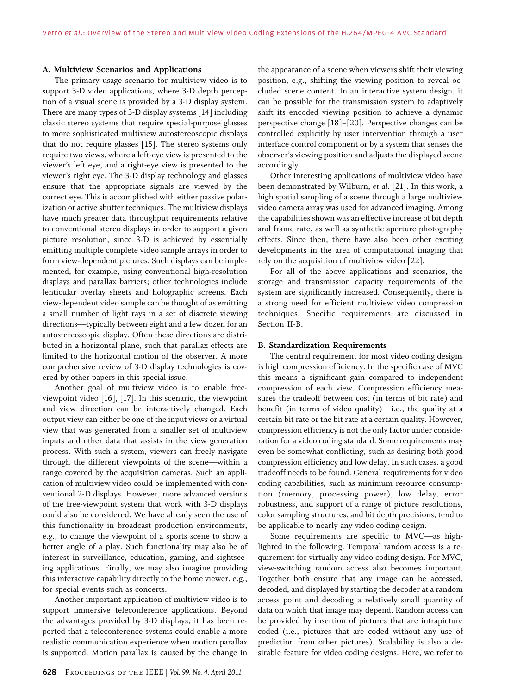#### A. Multiview Scenarios and Applications

The primary usage scenario for multiview video is to support 3-D video applications, where 3-D depth perception of a visual scene is provided by a 3-D display system. There are many types of 3-D display systems [14] including classic stereo systems that require special-purpose glasses to more sophisticated multiview autostereoscopic displays that do not require glasses [15]. The stereo systems only require two views, where a left-eye view is presented to the viewer's left eye, and a right-eye view is presented to the viewer's right eye. The 3-D display technology and glasses ensure that the appropriate signals are viewed by the correct eye. This is accomplished with either passive polarization or active shutter techniques. The multiview displays have much greater data throughput requirements relative to conventional stereo displays in order to support a given picture resolution, since 3-D is achieved by essentially emitting multiple complete video sample arrays in order to form view-dependent pictures. Such displays can be implemented, for example, using conventional high-resolution displays and parallax barriers; other technologies include lenticular overlay sheets and holographic screens. Each view-dependent video sample can be thought of as emitting a small number of light rays in a set of discrete viewing directions-typically between eight and a few dozen for an autostereoscopic display. Often these directions are distributed in a horizontal plane, such that parallax effects are limited to the horizontal motion of the observer. A more comprehensive review of 3-D display technologies is covered by other papers in this special issue.

Another goal of multiview video is to enable freeviewpoint video [16], [17]. In this scenario, the viewpoint and view direction can be interactively changed. Each output view can either be one of the input views or a virtual view that was generated from a smaller set of multiview inputs and other data that assists in the view generation process. With such a system, viewers can freely navigate through the different viewpoints of the scene-within a range covered by the acquisition cameras. Such an application of multiview video could be implemented with conventional 2-D displays. However, more advanced versions of the free-viewpoint system that work with 3-D displays could also be considered. We have already seen the use of this functionality in broadcast production environments, e.g., to change the viewpoint of a sports scene to show a better angle of a play. Such functionality may also be of interest in surveillance, education, gaming, and sightseeing applications. Finally, we may also imagine providing this interactive capability directly to the home viewer, e.g., for special events such as concerts.

Another important application of multiview video is to support immersive teleconference applications. Beyond the advantages provided by 3-D displays, it has been reported that a teleconference systems could enable a more realistic communication experience when motion parallax is supported. Motion parallax is caused by the change in

the appearance of a scene when viewers shift their viewing position, e.g., shifting the viewing position to reveal occluded scene content. In an interactive system design, it can be possible for the transmission system to adaptively shift its encoded viewing position to achieve a dynamic perspective change [18]–[20]. Perspective changes can be controlled explicitly by user intervention through a user interface control component or by a system that senses the observer's viewing position and adjusts the displayed scene accordingly.

Other interesting applications of multiview video have been demonstrated by Wilburn, et al. [21]. In this work, a high spatial sampling of a scene through a large multiview video camera array was used for advanced imaging. Among the capabilities shown was an effective increase of bit depth and frame rate, as well as synthetic aperture photography effects. Since then, there have also been other exciting developments in the area of computational imaging that rely on the acquisition of multiview video [22].

For all of the above applications and scenarios, the storage and transmission capacity requirements of the system are significantly increased. Consequently, there is a strong need for efficient multiview video compression techniques. Specific requirements are discussed in Section II-B.

#### B. Standardization Requirements

The central requirement for most video coding designs is high compression efficiency. In the specific case of MVC this means a significant gain compared to independent compression of each view. Compression efficiency measures the tradeoff between cost (in terms of bit rate) and benefit (in terms of video quality)—i.e., the quality at a certain bit rate or the bit rate at a certain quality. However, compression efficiency is not the only factor under consideration for a video coding standard. Some requirements may even be somewhat conflicting, such as desiring both good compression efficiency and low delay. In such cases, a good tradeoff needs to be found. General requirements for video coding capabilities, such as minimum resource consumption (memory, processing power), low delay, error robustness, and support of a range of picture resolutions, color sampling structures, and bit depth precisions, tend to be applicable to nearly any video coding design.

Some requirements are specific to MVC-as highlighted in the following. Temporal random access is a requirement for virtually any video coding design. For MVC, view-switching random access also becomes important. Together both ensure that any image can be accessed, decoded, and displayed by starting the decoder at a random access point and decoding a relatively small quantity of data on which that image may depend. Random access can be provided by insertion of pictures that are intrapicture coded (i.e., pictures that are coded without any use of prediction from other pictures). Scalability is also a desirable feature for video coding designs. Here, we refer to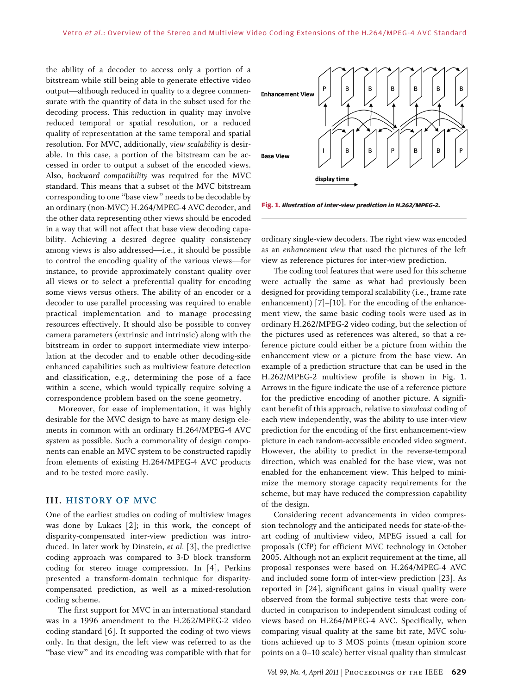the ability of a decoder to access only a portion of a bitstream while still being able to generate effective video output—although reduced in quality to a degree commensurate with the quantity of data in the subset used for the decoding process. This reduction in quality may involve reduced temporal or spatial resolution, or a reduced quality of representation at the same temporal and spatial resolution. For MVC, additionally, view scalability is desirable. In this case, a portion of the bitstream can be accessed in order to output a subset of the encoded views. Also, backward compatibility was required for the MVC standard. This means that a subset of the MVC bitstream corresponding to one "base view" needs to be decodable by an ordinary (non-MVC) H.264/MPEG-4 AVC decoder, and the other data representing other views should be encoded in a way that will not affect that base view decoding capability. Achieving a desired degree quality consistency among views is also addressed—i.e., it should be possible to control the encoding quality of the various views-for instance, to provide approximately constant quality over all views or to select a preferential quality for encoding some views versus others. The ability of an encoder or a decoder to use parallel processing was required to enable practical implementation and to manage processing resources effectively. It should also be possible to convey camera parameters (extrinsic and intrinsic) along with the bitstream in order to support intermediate view interpolation at the decoder and to enable other decoding-side enhanced capabilities such as multiview feature detection and classification, e.g., determining the pose of a face within a scene, which would typically require solving a correspondence problem based on the scene geometry.

Moreover, for ease of implementation, it was highly desirable for the MVC design to have as many design elements in common with an ordinary H.264/MPEG-4 AVC system as possible. Such a commonality of design components can enable an MVC system to be constructed rapidly from elements of existing H.264/MPEG-4 AVC products and to be tested more easily.

## III. HISTORY OF MVC

One of the earliest studies on coding of multiview images was done by Lukacs [2]; in this work, the concept of disparity-compensated inter-view prediction was introduced. In later work by Dinstein, et al. [3], the predictive coding approach was compared to 3-D block transform coding for stereo image compression. In [4], Perkins presented a transform-domain technique for disparitycompensated prediction, as well as a mixed-resolution coding scheme.

The first support for MVC in an international standard was in a 1996 amendment to the H.262/MPEG-2 video coding standard [6]. It supported the coding of two views only. In that design, the left view was referred to as the "base view" and its encoding was compatible with that for



Fig. 1. Illustration of inter-view prediction in H.262/MPEG-2.

ordinary single-view decoders. The right view was encoded as an enhancement view that used the pictures of the left view as reference pictures for inter-view prediction.

The coding tool features that were used for this scheme were actually the same as what had previously been designed for providing temporal scalability (i.e., frame rate enhancement) [7]–[10]. For the encoding of the enhancement view, the same basic coding tools were used as in ordinary H.262/MPEG-2 video coding, but the selection of the pictures used as references was altered, so that a reference picture could either be a picture from within the enhancement view or a picture from the base view. An example of a prediction structure that can be used in the H.262/MPEG-2 multiview profile is shown in Fig. 1. Arrows in the figure indicate the use of a reference picture for the predictive encoding of another picture. A significant benefit of this approach, relative to simulcast coding of each view independently, was the ability to use inter-view prediction for the encoding of the first enhancement-view picture in each random-accessible encoded video segment. However, the ability to predict in the reverse-temporal direction, which was enabled for the base view, was not enabled for the enhancement view. This helped to minimize the memory storage capacity requirements for the scheme, but may have reduced the compression capability of the design.

Considering recent advancements in video compression technology and the anticipated needs for state-of-theart coding of multiview video, MPEG issued a call for proposals (CfP) for efficient MVC technology in October 2005. Although not an explicit requirement at the time, all proposal responses were based on H.264/MPEG-4 AVC and included some form of inter-view prediction [23]. As reported in [24], significant gains in visual quality were observed from the formal subjective tests that were conducted in comparison to independent simulcast coding of views based on H.264/MPEG-4 AVC. Specifically, when comparing visual quality at the same bit rate, MVC solutions achieved up to 3 MOS points (mean opinion score points on a 0–10 scale) better visual quality than simulcast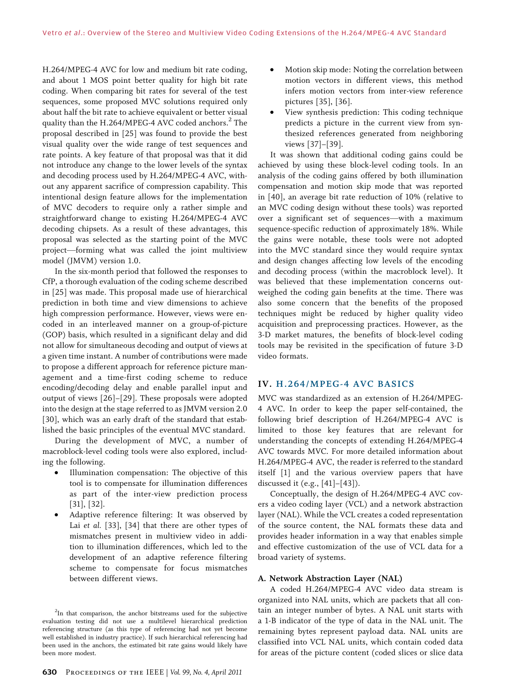H.264/MPEG-4 AVC for low and medium bit rate coding, and about 1 MOS point better quality for high bit rate coding. When comparing bit rates for several of the test sequences, some proposed MVC solutions required only about half the bit rate to achieve equivalent or better visual quality than the H.264/MPEG-4 AVC coded anchors.<sup>2</sup> The proposal described in [25] was found to provide the best visual quality over the wide range of test sequences and rate points. A key feature of that proposal was that it did not introduce any change to the lower levels of the syntax and decoding process used by H.264/MPEG-4 AVC, without any apparent sacrifice of compression capability. This intentional design feature allows for the implementation of MVC decoders to require only a rather simple and straightforward change to existing H.264/MPEG-4 AVC decoding chipsets. As a result of these advantages, this proposal was selected as the starting point of the MVC project-forming what was called the joint multiview model (JMVM) version 1.0.

In the six-month period that followed the responses to CfP, a thorough evaluation of the coding scheme described in [25] was made. This proposal made use of hierarchical prediction in both time and view dimensions to achieve high compression performance. However, views were encoded in an interleaved manner on a group-of-picture (GOP) basis, which resulted in a significant delay and did not allow for simultaneous decoding and output of views at a given time instant. A number of contributions were made to propose a different approach for reference picture management and a time-first coding scheme to reduce encoding/decoding delay and enable parallel input and output of views [26]–[29]. These proposals were adopted into the design at the stage referred to as JMVM version 2.0 [30], which was an early draft of the standard that established the basic principles of the eventual MVC standard.

During the development of MVC, a number of macroblock-level coding tools were also explored, including the following.

- Illumination compensation: The objective of this tool is to compensate for illumination differences as part of the inter-view prediction process [31], [32].
- Adaptive reference filtering: It was observed by Lai et al. [33], [34] that there are other types of mismatches present in multiview video in addition to illumination differences, which led to the development of an adaptive reference filtering scheme to compensate for focus mismatches between different views.
- Motion skip mode: Noting the correlation between motion vectors in different views, this method infers motion vectors from inter-view reference pictures [35], [36].
- View synthesis prediction: This coding technique predicts a picture in the current view from synthesized references generated from neighboring views [37]–[39].

It was shown that additional coding gains could be achieved by using these block-level coding tools. In an analysis of the coding gains offered by both illumination compensation and motion skip mode that was reported in [40], an average bit rate reduction of 10% (relative to an MVC coding design without these tools) was reported over a significant set of sequences-with a maximum sequence-specific reduction of approximately 18%. While the gains were notable, these tools were not adopted into the MVC standard since they would require syntax and design changes affecting low levels of the encoding and decoding process (within the macroblock level). It was believed that these implementation concerns outweighed the coding gain benefits at the time. There was also some concern that the benefits of the proposed techniques might be reduced by higher quality video acquisition and preprocessing practices. However, as the 3-D market matures, the benefits of block-level coding tools may be revisited in the specification of future 3-D video formats.

## IV. H.264/MPEG-4 AVC BASICS

MVC was standardized as an extension of H.264/MPEG-4 AVC. In order to keep the paper self-contained, the following brief description of H.264/MPEG-4 AVC is limited to those key features that are relevant for understanding the concepts of extending H.264/MPEG-4 AVC towards MVC. For more detailed information about H.264/MPEG-4 AVC, the reader is referred to the standard itself [1] and the various overview papers that have discussed it (e.g., [41]–[43]).

Conceptually, the design of H.264/MPEG-4 AVC covers a video coding layer (VCL) and a network abstraction layer (NAL). While the VCL creates a coded representation of the source content, the NAL formats these data and provides header information in a way that enables simple and effective customization of the use of VCL data for a broad variety of systems.

## A. Network Abstraction Layer (NAL)

A coded H.264/MPEG-4 AVC video data stream is organized into NAL units, which are packets that all contain an integer number of bytes. A NAL unit starts with a 1-B indicator of the type of data in the NAL unit. The remaining bytes represent payload data. NAL units are classified into VCL NAL units, which contain coded data for areas of the picture content (coded slices or slice data

<sup>&</sup>lt;sup>2</sup>In that comparison, the anchor bitstreams used for the subjective evaluation testing did not use a multilevel hierarchical prediction referencing structure (as this type of referencing had not yet become well established in industry practice). If such hierarchical referencing had been used in the anchors, the estimated bit rate gains would likely have been more modest.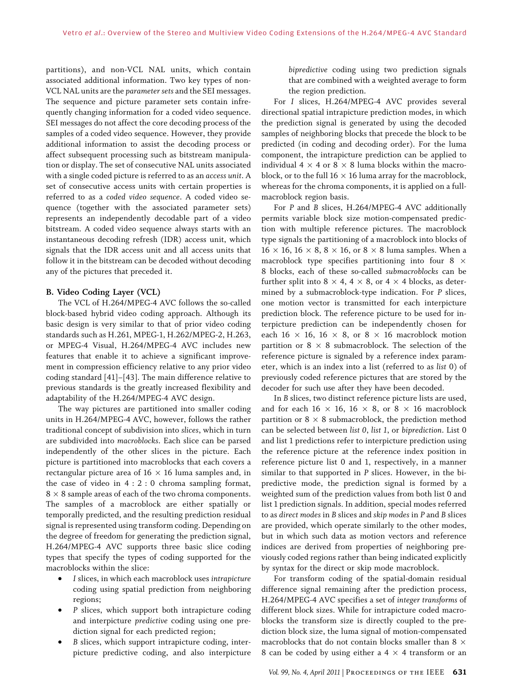partitions), and non-VCL NAL units, which contain associated additional information. Two key types of non-VCL NAL units are the parameter sets and the SEI messages. The sequence and picture parameter sets contain infrequently changing information for a coded video sequence. SEI messages do not affect the core decoding process of the samples of a coded video sequence. However, they provide additional information to assist the decoding process or affect subsequent processing such as bitstream manipulation or display. The set of consecutive NAL units associated with a single coded picture is referred to as an access unit. A set of consecutive access units with certain properties is referred to as a coded video sequence. A coded video sequence (together with the associated parameter sets) represents an independently decodable part of a video bitstream. A coded video sequence always starts with an instantaneous decoding refresh (IDR) access unit, which signals that the IDR access unit and all access units that follow it in the bitstream can be decoded without decoding any of the pictures that preceded it.

### B. Video Coding Layer (VCL)

The VCL of H.264/MPEG-4 AVC follows the so-called block-based hybrid video coding approach. Although its basic design is very similar to that of prior video coding standards such as H.261, MPEG-1, H.262/MPEG-2, H.263, or MPEG-4 Visual, H.264/MPEG-4 AVC includes new features that enable it to achieve a significant improvement in compression efficiency relative to any prior video coding standard [41]–[43]. The main difference relative to previous standards is the greatly increased flexibility and adaptability of the H.264/MPEG-4 AVC design.

The way pictures are partitioned into smaller coding units in H.264/MPEG-4 AVC, however, follows the rather traditional concept of subdivision into slices, which in turn are subdivided into macroblocks. Each slice can be parsed independently of the other slices in the picture. Each picture is partitioned into macroblocks that each covers a rectangular picture area of 16  $\times$  16 luma samples and, in the case of video in 4 : 2 : 0 chroma sampling format,  $8 \times 8$  sample areas of each of the two chroma components. The samples of a macroblock are either spatially or temporally predicted, and the resulting prediction residual signal is represented using transform coding. Depending on the degree of freedom for generating the prediction signal, H.264/MPEG-4 AVC supports three basic slice coding types that specify the types of coding supported for the macroblocks within the slice:

- I slices, in which each macroblock uses intrapicture coding using spatial prediction from neighboring regions;
- P slices, which support both intrapicture coding and interpicture predictive coding using one prediction signal for each predicted region;
- B slices, which support intrapicture coding, interpicture predictive coding, and also interpicture

bipredictive coding using two prediction signals that are combined with a weighted average to form the region prediction.

For I slices, H.264/MPEG-4 AVC provides several directional spatial intrapicture prediction modes, in which the prediction signal is generated by using the decoded samples of neighboring blocks that precede the block to be predicted (in coding and decoding order). For the luma component, the intrapicture prediction can be applied to individual 4  $\times$  4 or 8  $\times$  8 luma blocks within the macroblock, or to the full 16  $\times$  16 luma array for the macroblock, whereas for the chroma components, it is applied on a fullmacroblock region basis.

For P and B slices, H.264/MPEG-4 AVC additionally permits variable block size motion-compensated prediction with multiple reference pictures. The macroblock type signals the partitioning of a macroblock into blocks of  $16 \times 16$ ,  $16 \times 8$ ,  $8 \times 16$ , or  $8 \times 8$  luma samples. When a macroblock type specifies partitioning into four 8  $\times$ 8 blocks, each of these so-called submacroblocks can be further split into 8  $\times$  4, 4  $\times$  8, or 4  $\times$  4 blocks, as determined by a submacroblock-type indication. For P slices, one motion vector is transmitted for each interpicture prediction block. The reference picture to be used for interpicture prediction can be independently chosen for each 16  $\times$  16, 16  $\times$  8, or 8  $\times$  16 macroblock motion partition or 8  $\times$  8 submacroblock. The selection of the reference picture is signaled by a reference index parameter, which is an index into a list (referred to as list 0) of previously coded reference pictures that are stored by the decoder for such use after they have been decoded.

In B slices, two distinct reference picture lists are used, and for each 16  $\times$  16, 16  $\times$  8, or 8  $\times$  16 macroblock partition or 8  $\times$  8 submacroblock, the prediction method can be selected between list 0, list 1, or biprediction. List 0 and list 1 predictions refer to interpicture prediction using the reference picture at the reference index position in reference picture list 0 and 1, respectively, in a manner similar to that supported in P slices. However, in the bipredictive mode, the prediction signal is formed by a weighted sum of the prediction values from both list 0 and list 1 prediction signals. In addition, special modes referred to as direct modes in B slices and skip modes in P and B slices are provided, which operate similarly to the other modes, but in which such data as motion vectors and reference indices are derived from properties of neighboring previously coded regions rather than being indicated explicitly by syntax for the direct or skip mode macroblock.

For transform coding of the spatial-domain residual difference signal remaining after the prediction process, H.264/MPEG-4 AVC specifies a set of integer transforms of different block sizes. While for intrapicture coded macroblocks the transform size is directly coupled to the prediction block size, the luma signal of motion-compensated macroblocks that do not contain blocks smaller than 8  $\times$ 8 can be coded by using either a  $4 \times 4$  transform or an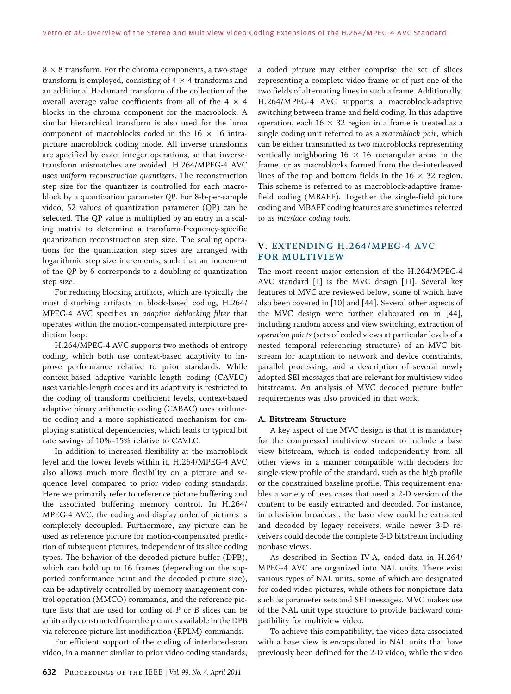$8 \times 8$  transform. For the chroma components, a two-stage transform is employed, consisting of 4  $\times$  4 transforms and an additional Hadamard transform of the collection of the overall average value coefficients from all of the 4  $\times$  4 blocks in the chroma component for the macroblock. A similar hierarchical transform is also used for the luma component of macroblocks coded in the  $16 \times 16$  intrapicture macroblock coding mode. All inverse transforms are specified by exact integer operations, so that inversetransform mismatches are avoided. H.264/MPEG-4 AVC uses uniform reconstruction quantizers. The reconstruction step size for the quantizer is controlled for each macroblock by a quantization parameter QP. For 8-b-per-sample video, 52 values of quantization parameter (QP) can be selected. The QP value is multiplied by an entry in a scaling matrix to determine a transform-frequency-specific quantization reconstruction step size. The scaling operations for the quantization step sizes are arranged with logarithmic step size increments, such that an increment of the QP by 6 corresponds to a doubling of quantization step size.

For reducing blocking artifacts, which are typically the most disturbing artifacts in block-based coding, H.264/ MPEG-4 AVC specifies an adaptive deblocking filter that operates within the motion-compensated interpicture prediction loop.

H.264/MPEG-4 AVC supports two methods of entropy coding, which both use context-based adaptivity to improve performance relative to prior standards. While context-based adaptive variable-length coding (CAVLC) uses variable-length codes and its adaptivity is restricted to the coding of transform coefficient levels, context-based adaptive binary arithmetic coding (CABAC) uses arithmetic coding and a more sophisticated mechanism for employing statistical dependencies, which leads to typical bit rate savings of 10%–15% relative to CAVLC.

In addition to increased flexibility at the macroblock level and the lower levels within it, H.264/MPEG-4 AVC also allows much more flexibility on a picture and sequence level compared to prior video coding standards. Here we primarily refer to reference picture buffering and the associated buffering memory control. In H.264/ MPEG-4 AVC, the coding and display order of pictures is completely decoupled. Furthermore, any picture can be used as reference picture for motion-compensated prediction of subsequent pictures, independent of its slice coding types. The behavior of the decoded picture buffer (DPB), which can hold up to 16 frames (depending on the supported conformance point and the decoded picture size), can be adaptively controlled by memory management control operation (MMCO) commands, and the reference picture lists that are used for coding of P or B slices can be arbitrarily constructed from the pictures available in the DPB via reference picture list modification (RPLM) commands.

For efficient support of the coding of interlaced-scan video, in a manner similar to prior video coding standards, a coded picture may either comprise the set of slices representing a complete video frame or of just one of the two fields of alternating lines in such a frame. Additionally, H.264/MPEG-4 AVC supports a macroblock-adaptive switching between frame and field coding. In this adaptive operation, each  $16 \times 32$  region in a frame is treated as a single coding unit referred to as a macroblock pair, which can be either transmitted as two macroblocks representing vertically neighboring 16  $\times$  16 rectangular areas in the frame, or as macroblocks formed from the de-interleaved lines of the top and bottom fields in the  $16 \times 32$  region. This scheme is referred to as macroblock-adaptive framefield coding (MBAFF). Together the single-field picture coding and MBAFF coding features are sometimes referred to as interlace coding tools.

# V. EXTENDING H.264/MPEG-4 AVC FOR MULTIVIEW

The most recent major extension of the H.264/MPEG-4 AVC standard [1] is the MVC design [11]. Several key features of MVC are reviewed below, some of which have also been covered in [10] and [44]. Several other aspects of the MVC design were further elaborated on in [44], including random access and view switching, extraction of operation points (sets of coded views at particular levels of a nested temporal referencing structure) of an MVC bitstream for adaptation to network and device constraints, parallel processing, and a description of several newly adopted SEI messages that are relevant for multiview video bitstreams. An analysis of MVC decoded picture buffer requirements was also provided in that work.

#### A. Bitstream Structure

A key aspect of the MVC design is that it is mandatory for the compressed multiview stream to include a base view bitstream, which is coded independently from all other views in a manner compatible with decoders for single-view profile of the standard, such as the high profile or the constrained baseline profile. This requirement enables a variety of uses cases that need a 2-D version of the content to be easily extracted and decoded. For instance, in television broadcast, the base view could be extracted and decoded by legacy receivers, while newer 3-D receivers could decode the complete 3-D bitstream including nonbase views.

As described in Section IV-A, coded data in H.264/ MPEG-4 AVC are organized into NAL units. There exist various types of NAL units, some of which are designated for coded video pictures, while others for nonpicture data such as parameter sets and SEI messages. MVC makes use of the NAL unit type structure to provide backward compatibility for multiview video.

To achieve this compatibility, the video data associated with a base view is encapsulated in NAL units that have previously been defined for the 2-D video, while the video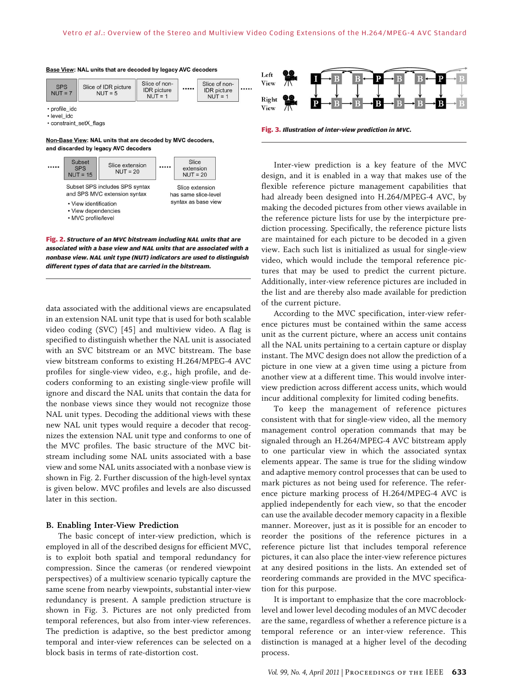| <b>SPS</b><br>$NUT = 7$      | Slice of IDR picture<br>$NUT = 5$ | Slice of non-<br><b>IDR</b> picture<br>$NUT = 1$ | <br>Slice of non-<br><b>IDR</b> picture<br>$NUT = 1$ | 1.1.1.1 |
|------------------------------|-----------------------------------|--------------------------------------------------|------------------------------------------------------|---------|
| • profile idc<br>· level idc | . constraint setX flags           |                                                  |                                                      |         |

#### Base View: NAL units that are decoded by legacy AVC decoders

Non-Base View: NAL units that are decoded by MVC decoders, and discarded by legacy AVC decoders



Fig. 2. Structure of an MVC bitstream including NAL units that are associated with a base view and NAL units that are associated with a nonbase view. NAL unit type (NUT) indicators are used to distinguish different types of data that are carried in the bitstream.

data associated with the additional views are encapsulated in an extension NAL unit type that is used for both scalable video coding (SVC) [45] and multiview video. A flag is specified to distinguish whether the NAL unit is associated with an SVC bitstream or an MVC bitstream. The base view bitstream conforms to existing H.264/MPEG-4 AVC profiles for single-view video, e.g., high profile, and decoders conforming to an existing single-view profile will ignore and discard the NAL units that contain the data for the nonbase views since they would not recognize those NAL unit types. Decoding the additional views with these new NAL unit types would require a decoder that recognizes the extension NAL unit type and conforms to one of the MVC profiles. The basic structure of the MVC bitstream including some NAL units associated with a base view and some NAL units associated with a nonbase view is shown in Fig. 2. Further discussion of the high-level syntax is given below. MVC profiles and levels are also discussed later in this section.

#### B. Enabling Inter-View Prediction

The basic concept of inter-view prediction, which is employed in all of the described designs for efficient MVC, is to exploit both spatial and temporal redundancy for compression. Since the cameras (or rendered viewpoint perspectives) of a multiview scenario typically capture the same scene from nearby viewpoints, substantial inter-view redundancy is present. A sample prediction structure is shown in Fig. 3. Pictures are not only predicted from temporal references, but also from inter-view references. The prediction is adaptive, so the best predictor among temporal and inter-view references can be selected on a block basis in terms of rate-distortion cost.



Fig. 3. Illustration of inter-view prediction in MVC.

Inter-view prediction is a key feature of the MVC design, and it is enabled in a way that makes use of the flexible reference picture management capabilities that had already been designed into H.264/MPEG-4 AVC, by making the decoded pictures from other views available in the reference picture lists for use by the interpicture prediction processing. Specifically, the reference picture lists are maintained for each picture to be decoded in a given view. Each such list is initialized as usual for single-view video, which would include the temporal reference pictures that may be used to predict the current picture. Additionally, inter-view reference pictures are included in the list and are thereby also made available for prediction of the current picture.

According to the MVC specification, inter-view reference pictures must be contained within the same access unit as the current picture, where an access unit contains all the NAL units pertaining to a certain capture or display instant. The MVC design does not allow the prediction of a picture in one view at a given time using a picture from another view at a different time. This would involve interview prediction across different access units, which would incur additional complexity for limited coding benefits.

To keep the management of reference pictures consistent with that for single-view video, all the memory management control operation commands that may be signaled through an H.264/MPEG-4 AVC bitstream apply to one particular view in which the associated syntax elements appear. The same is true for the sliding window and adaptive memory control processes that can be used to mark pictures as not being used for reference. The reference picture marking process of H.264/MPEG-4 AVC is applied independently for each view, so that the encoder can use the available decoder memory capacity in a flexible manner. Moreover, just as it is possible for an encoder to reorder the positions of the reference pictures in a reference picture list that includes temporal reference pictures, it can also place the inter-view reference pictures at any desired positions in the lists. An extended set of reordering commands are provided in the MVC specification for this purpose.

It is important to emphasize that the core macroblocklevel and lower level decoding modules of an MVC decoder are the same, regardless of whether a reference picture is a temporal reference or an inter-view reference. This distinction is managed at a higher level of the decoding process.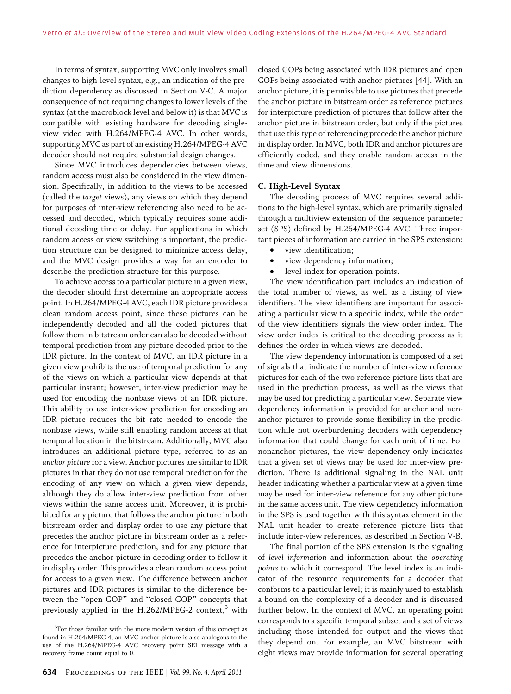In terms of syntax, supporting MVC only involves small changes to high-level syntax, e.g., an indication of the prediction dependency as discussed in Section V-C. A major consequence of not requiring changes to lower levels of the syntax (at the macroblock level and below it) is that MVC is compatible with existing hardware for decoding singleview video with H.264/MPEG-4 AVC. In other words, supporting MVC as part of an existing H.264/MPEG-4 AVC decoder should not require substantial design changes.

Since MVC introduces dependencies between views, random access must also be considered in the view dimension. Specifically, in addition to the views to be accessed (called the target views), any views on which they depend for purposes of inter-view referencing also need to be accessed and decoded, which typically requires some additional decoding time or delay. For applications in which random access or view switching is important, the prediction structure can be designed to minimize access delay, and the MVC design provides a way for an encoder to describe the prediction structure for this purpose.

To achieve access to a particular picture in a given view, the decoder should first determine an appropriate access point. In H.264/MPEG-4 AVC, each IDR picture provides a clean random access point, since these pictures can be independently decoded and all the coded pictures that follow them in bitstream order can also be decoded without temporal prediction from any picture decoded prior to the IDR picture. In the context of MVC, an IDR picture in a given view prohibits the use of temporal prediction for any of the views on which a particular view depends at that particular instant; however, inter-view prediction may be used for encoding the nonbase views of an IDR picture. This ability to use inter-view prediction for encoding an IDR picture reduces the bit rate needed to encode the nonbase views, while still enabling random access at that temporal location in the bitstream. Additionally, MVC also introduces an additional picture type, referred to as an anchor picture for a view. Anchor pictures are similar to IDR pictures in that they do not use temporal prediction for the encoding of any view on which a given view depends, although they do allow inter-view prediction from other views within the same access unit. Moreover, it is prohibited for any picture that follows the anchor picture in both bitstream order and display order to use any picture that precedes the anchor picture in bitstream order as a reference for interpicture prediction, and for any picture that precedes the anchor picture in decoding order to follow it in display order. This provides a clean random access point for access to a given view. The difference between anchor pictures and IDR pictures is similar to the difference between the "open GOP" and "closed GOP" concepts that previously applied in the H.262/MPEG-2 context,<sup>3</sup> with

634 Proceedings of the IEEE | Vol. 99, No. 4, April 2011

closed GOPs being associated with IDR pictures and open GOPs being associated with anchor pictures [44]. With an anchor picture, it is permissible to use pictures that precede the anchor picture in bitstream order as reference pictures for interpicture prediction of pictures that follow after the anchor picture in bitstream order, but only if the pictures that use this type of referencing precede the anchor picture in display order. In MVC, both IDR and anchor pictures are efficiently coded, and they enable random access in the time and view dimensions.

#### C. High-Level Syntax

The decoding process of MVC requires several additions to the high-level syntax, which are primarily signaled through a multiview extension of the sequence parameter set (SPS) defined by H.264/MPEG-4 AVC. Three important pieces of information are carried in the SPS extension:

- view identification;
- view dependency information;
- level index for operation points.

The view identification part includes an indication of the total number of views, as well as a listing of view identifiers. The view identifiers are important for associating a particular view to a specific index, while the order of the view identifiers signals the view order index. The view order index is critical to the decoding process as it defines the order in which views are decoded.

The view dependency information is composed of a set of signals that indicate the number of inter-view reference pictures for each of the two reference picture lists that are used in the prediction process, as well as the views that may be used for predicting a particular view. Separate view dependency information is provided for anchor and nonanchor pictures to provide some flexibility in the prediction while not overburdening decoders with dependency information that could change for each unit of time. For nonanchor pictures, the view dependency only indicates that a given set of views may be used for inter-view prediction. There is additional signaling in the NAL unit header indicating whether a particular view at a given time may be used for inter-view reference for any other picture in the same access unit. The view dependency information in the SPS is used together with this syntax element in the NAL unit header to create reference picture lists that include inter-view references, as described in Section V-B.

The final portion of the SPS extension is the signaling of level information and information about the operating points to which it correspond. The level index is an indicator of the resource requirements for a decoder that conforms to a particular level; it is mainly used to establish a bound on the complexity of a decoder and is discussed further below. In the context of MVC, an operating point corresponds to a specific temporal subset and a set of views including those intended for output and the views that they depend on. For example, an MVC bitstream with eight views may provide information for several operating

<sup>&</sup>lt;sup>3</sup>For those familiar with the more modern version of this concept as found in H.264/MPEG-4, an MVC anchor picture is also analogous to the use of the H.264/MPEG-4 AVC recovery point SEI message with a recovery frame count equal to 0.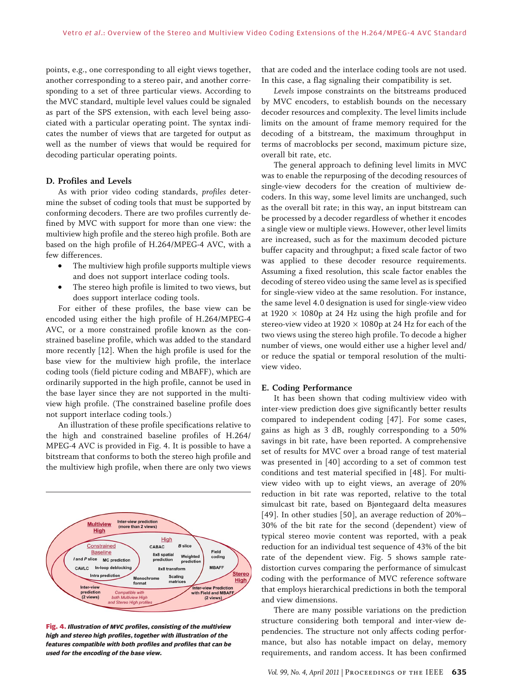points, e.g., one corresponding to all eight views together, another corresponding to a stereo pair, and another corresponding to a set of three particular views. According to the MVC standard, multiple level values could be signaled as part of the SPS extension, with each level being associated with a particular operating point. The syntax indicates the number of views that are targeted for output as well as the number of views that would be required for decoding particular operating points.

## D. Profiles and Levels

As with prior video coding standards, profiles determine the subset of coding tools that must be supported by conforming decoders. There are two profiles currently defined by MVC with support for more than one view: the multiview high profile and the stereo high profile. Both are based on the high profile of H.264/MPEG-4 AVC, with a few differences.

- The multiview high profile supports multiple views and does not support interlace coding tools.
- The stereo high profile is limited to two views, but does support interlace coding tools.

For either of these profiles, the base view can be encoded using either the high profile of H.264/MPEG-4 AVC, or a more constrained profile known as the constrained baseline profile, which was added to the standard more recently [12]. When the high profile is used for the base view for the multiview high profile, the interlace coding tools (field picture coding and MBAFF), which are ordinarily supported in the high profile, cannot be used in the base layer since they are not supported in the multiview high profile. (The constrained baseline profile does not support interlace coding tools.)

An illustration of these profile specifications relative to the high and constrained baseline profiles of H.264/ MPEG-4 AVC is provided in Fig. 4. It is possible to have a bitstream that conforms to both the stereo high profile and the multiview high profile, when there are only two views



Fig. 4. Illustration of MVC profiles, consisting of the multiview high and stereo high profiles, together with illustration of the features compatible with both profiles and profiles that can be used for the encoding of the base view.

that are coded and the interlace coding tools are not used. In this case, a flag signaling their compatibility is set.

Levels impose constraints on the bitstreams produced by MVC encoders, to establish bounds on the necessary decoder resources and complexity. The level limits include limits on the amount of frame memory required for the decoding of a bitstream, the maximum throughput in terms of macroblocks per second, maximum picture size, overall bit rate, etc.

The general approach to defining level limits in MVC was to enable the repurposing of the decoding resources of single-view decoders for the creation of multiview decoders. In this way, some level limits are unchanged, such as the overall bit rate; in this way, an input bitstream can be processed by a decoder regardless of whether it encodes a single view or multiple views. However, other level limits are increased, such as for the maximum decoded picture buffer capacity and throughput; a fixed scale factor of two was applied to these decoder resource requirements. Assuming a fixed resolution, this scale factor enables the decoding of stereo video using the same level as is specified for single-view video at the same resolution. For instance, the same level 4.0 designation is used for single-view video at 1920  $\times$  1080p at 24 Hz using the high profile and for stereo-view video at 1920  $\times$  1080p at 24 Hz for each of the two views using the stereo high profile. To decode a higher number of views, one would either use a higher level and/ or reduce the spatial or temporal resolution of the multiview video.

#### E. Coding Performance

It has been shown that coding multiview video with inter-view prediction does give significantly better results compared to independent coding [47]. For some cases, gains as high as 3 dB, roughly corresponding to a 50% savings in bit rate, have been reported. A comprehensive set of results for MVC over a broad range of test material was presented in [40] according to a set of common test conditions and test material specified in [48]. For multiview video with up to eight views, an average of 20% reduction in bit rate was reported, relative to the total simulcast bit rate, based on Bjøntegaard delta measures [49]. In other studies [50], an average reduction of 20%– 30% of the bit rate for the second (dependent) view of typical stereo movie content was reported, with a peak reduction for an individual test sequence of 43% of the bit rate of the dependent view. Fig. 5 shows sample ratedistortion curves comparing the performance of simulcast coding with the performance of MVC reference software that employs hierarchical predictions in both the temporal and view dimensions.

There are many possible variations on the prediction structure considering both temporal and inter-view dependencies. The structure not only affects coding performance, but also has notable impact on delay, memory requirements, and random access. It has been confirmed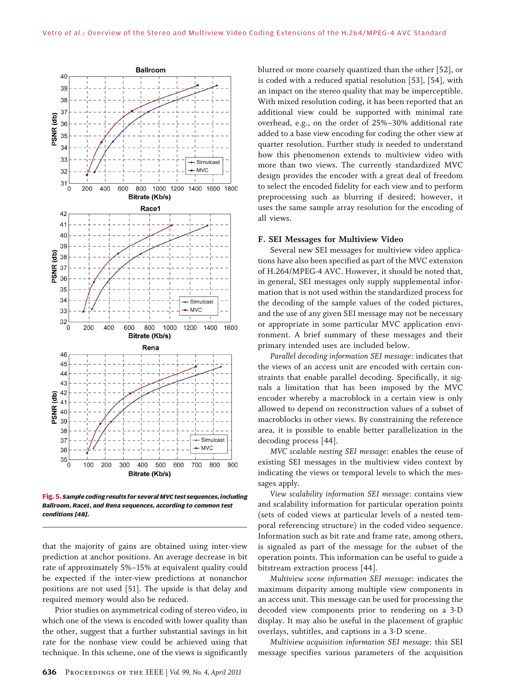

Fig. 5. Sample coding results for several MVC test sequences, including Ballroom, Race1, and Rena sequences, according to common test conditions [48].

that the majority of gains are obtained using inter-view prediction at anchor positions. An average decrease in bit rate of approximately 5%–15% at equivalent quality could be expected if the inter-view predictions at nonanchor positions are not used [51]. The upside is that delay and required memory would also be reduced.

Prior studies on asymmetrical coding of stereo video, in which one of the views is encoded with lower quality than the other, suggest that a further substantial savings in bit rate for the nonbase view could be achieved using that technique. In this scheme, one of the views is significantly

blurred or more coarsely quantized than the other [52], or is coded with a reduced spatial resolution [53], [54], with an impact on the stereo quality that may be imperceptible. With mixed resolution coding, it has been reported that an additional view could be supported with minimal rate overhead, e.g., on the order of 25%–30% additional rate added to a base view encoding for coding the other view at quarter resolution. Further study is needed to understand how this phenomenon extends to multiview video with more than two views. The currently standardized MVC design provides the encoder with a great deal of freedom to select the encoded fidelity for each view and to perform preprocessing such as blurring if desired; however, it uses the same sample array resolution for the encoding of all views.

## F. SEI Messages for Multiview Video

Several new SEI messages for multiview video applications have also been specified as part of the MVC extension of H.264/MPEG-4 AVC. However, it should be noted that, in general, SEI messages only supply supplemental information that is not used within the standardized process for the decoding of the sample values of the coded pictures, and the use of any given SEI message may not be necessary or appropriate in some particular MVC application environment. A brief summary of these messages and their primary intended uses are included below.

Parallel decoding information SEI message: indicates that the views of an access unit are encoded with certain constraints that enable parallel decoding. Specifically, it signals a limitation that has been imposed by the MVC encoder whereby a macroblock in a certain view is only allowed to depend on reconstruction values of a subset of macroblocks in other views. By constraining the reference area, it is possible to enable better parallelization in the decoding process [44].

MVC scalable nesting SEI message: enables the reuse of existing SEI messages in the multiview video context by indicating the views or temporal levels to which the messages apply.

View scalability information SEI message: contains view and scalability information for particular operation points (sets of coded views at particular levels of a nested temporal referencing structure) in the coded video sequence. Information such as bit rate and frame rate, among others, is signaled as part of the message for the subset of the operation points. This information can be useful to guide a bitstream extraction process [44].

Multiview scene information SEI message: indicates the maximum disparity among multiple view components in an access unit. This message can be used for processing the decoded view components prior to rendering on a 3-D display. It may also be useful in the placement of graphic overlays, subtitles, and captions in a 3-D scene.

Multiview acquisition information SEI message: this SEI message specifies various parameters of the acquisition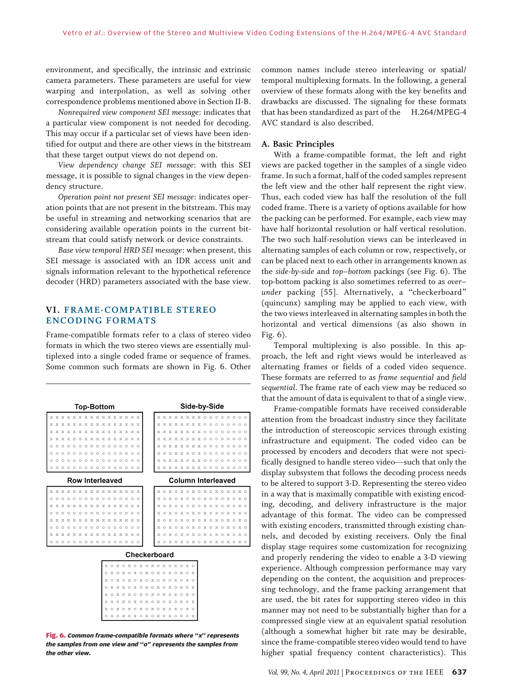environment, and specifically, the intrinsic and extrinsic camera parameters. These parameters are useful for view warping and interpolation, as well as solving other correspondence problems mentioned above in Section II-B.

Nonrequired view component SEI message: indicates that a particular view component is not needed for decoding. This may occur if a particular set of views have been identified for output and there are other views in the bitstream that these target output views do not depend on.

View dependency change SEI message: with this SEI message, it is possible to signal changes in the view dependency structure.

Operation point not present SEI message: indicates operation points that are not present in the bitstream. This may be useful in streaming and networking scenarios that are considering available operation points in the current bitstream that could satisfy network or device constraints.

Base view temporal HRD SEI message: when present, this SEI message is associated with an IDR access unit and signals information relevant to the hypothetical reference decoder (HRD) parameters associated with the base view.

# VI. FRAME-COMPATIBLE STEREO ENCODING FORMATS

Frame-compatible formats refer to a class of stereo video formats in which the two stereo views are essentially multiplexed into a single coded frame or sequence of frames. Some common such formats are shown in Fig. 6. Other

| <b>Top-Bottom</b>                                                                                                                                                 | Side-by-Side                                                                                                             |  |  |  |  |
|-------------------------------------------------------------------------------------------------------------------------------------------------------------------|--------------------------------------------------------------------------------------------------------------------------|--|--|--|--|
| <b>x x x x x x x x x x x x x x x x</b>                                                                                                                            | <b>X X X X X X X X</b><br>0000<br>$\circ$<br>$\circ$<br>$\circ$<br>$\circ$                                               |  |  |  |  |
| X<br>X<br>X<br>X<br>X<br>$_{\rm X}$<br>X<br>x<br>x<br>x<br>x<br>x<br>x<br>x<br>x<br>x                                                                             | X X<br>$\mathbf{x}$<br>X<br>X<br>x<br>$\circ$<br>x<br>x<br>O<br>$\circ$<br>$\circ$<br>$\circ$                            |  |  |  |  |
| x<br>x<br>X<br>x<br>XX<br>- X<br>XXX<br>x<br>-X<br>x<br>x<br>x<br>- 25                                                                                            | X<br>XX<br>X<br>XX<br>X<br>X<br>$\circ$<br>$\circ$<br>O<br>$\circ$<br>$\circ$<br>$\circ$<br>$\circ$<br>$\circ$           |  |  |  |  |
| $\boldsymbol{\mathsf{x}}$<br>×<br>x<br>$\boldsymbol{\times}$<br>x<br>x<br>×<br>x<br>×<br>$\boldsymbol{\times}$<br>x<br>×<br>x<br>x<br>×<br>×                      | $\boldsymbol{\times}$<br>x x<br>×<br>$\circ$<br>$\circ$<br>$\Omega$<br>×<br>×<br>Λ<br>$\circ$<br>$\Omega$<br>c<br>⌒      |  |  |  |  |
| $\circ$<br>$\circ$<br>$\circ$<br>$\circ$<br>$\circ$<br>$\circ$<br>Ο<br>$\circ$<br>Ο<br>O<br>Ō<br>$\circ$<br>Ο<br>$\circ$<br>Ω                                     | X X<br>×<br>x<br>×<br>×<br>$\circ$<br>C<br>$\Omega$                                                                      |  |  |  |  |
| $\circ$<br>$\circ$<br>$\circ$<br>$\circ$<br>$\circ$<br>$\circ$<br>$\circ$<br>$\circ$<br>$\circ$<br>$\circ$<br>$\circ$<br>$\circ$<br>$\circ$<br>$\circ$<br>$\circ$ | $\circ$<br>x<br>x<br>×<br>x<br>×<br>×<br>×<br>$\circ$<br>$\circ$<br>Θ<br>O<br>O<br>O<br>-0                               |  |  |  |  |
| $\circ$<br>$\Omega$<br>$\circ$<br>$\circ$<br>$\circ$<br>$\circ$<br>$\circ$<br>Ω<br>$\circ$<br>$\circ$<br>Ω<br>$\circ$                                             | X X<br>X<br>x<br>x.<br>X<br>x<br>x<br>$\circ$<br>$\circ$                                                                 |  |  |  |  |
| $\circ$<br>$\circ$<br>$\circ$<br>$\circ$<br>$\circ$<br>$\circ$<br>$\circ\circ\circ\circ\circ\circ$<br>$\circ$<br>$\circ$<br>$\circ$<br>$\circ$ $\circ$            | x<br>x<br>x<br>$\circ$<br>$\circ$<br>$\circ$<br>$\circ$ $\circ$<br>x<br>x<br>$\circ$                                     |  |  |  |  |
| <b>Row Interleaved</b><br><b>Column Interleaved</b>                                                                                                               |                                                                                                                          |  |  |  |  |
| $\mathbf{x}$<br>$\mathbf{x}$<br>x<br>x<br>x<br>x<br>x<br>×<br>×                                                                                                   | x<br>$\circ$<br>$\mathbf x$<br>$\mathbf x$<br>$\circ$<br>x<br>$\circ$<br>×<br>×<br>O<br>◠<br>◠                           |  |  |  |  |
| Ω<br>Ω<br>Ω<br>Ω<br>$\circ$                                                                                                                                       | X<br>x<br>x<br>X<br>$\circ$<br>$\circ$<br>x<br>x<br>x<br>$\circ$<br>- 0                                                  |  |  |  |  |
| x<br>x<br>x<br>×<br>×<br>X<br>x<br>x<br>x<br>x<br>x<br>x<br>x<br>x<br>x<br>×                                                                                      | X<br>X<br>$\circ$<br>$\circ$<br>$\circ$<br>x<br>$\circ$<br>x<br>$\circ$<br>x<br>$\circ$<br>x<br>$\circ$<br>x<br>x        |  |  |  |  |
| ◠<br>$\circ$<br>$^{\circ}$<br>$\circ$<br>$\circ$<br>c<br>◠<br>$^{\circ}$<br>O<br>O<br>$^{\circ}$<br>O                                                             | x<br>x<br>x<br>x<br>x<br>x<br>x<br>$\circ$<br>x<br>$\circ$<br>$\circ$<br>$\circ$<br>O<br>O<br>o                          |  |  |  |  |
| x<br>x<br>x<br>x<br>X<br>x<br>x<br>x<br>X<br>x<br>x<br>x<br>x<br>x<br>x<br>x                                                                                      | x<br>x<br>$\circ$<br>$\circ$<br>x<br>x<br>X<br>x<br>x<br>$\circ$<br>x<br>$\circ$<br>$\circ$<br>$\circ$<br>$\circ$<br>- 0 |  |  |  |  |
| $\circ$<br>$\circ$<br>с<br>C<br>с<br>c<br>C<br>Ο<br>O<br>$\Omega$<br>C<br>c<br>c                                                                                  | x<br>$\circ$<br>×<br>x<br>x<br>$\circ$<br>x<br>$\circ$<br>x<br>x<br>$\Omega$<br>$\circ$<br>x<br>$\circ$<br>$\circ$<br>o  |  |  |  |  |
| x<br>x<br>x<br>x<br>x<br>x<br>x<br>x<br>Χ<br>x<br>x<br>x<br>x<br>x<br>x<br>x                                                                                      | X<br>X<br>X<br>x<br>$\circ$<br>$\circ$<br>x<br>x<br>O<br>O<br>x<br>$\circ$<br>$\circ$<br>X O<br>Ο                        |  |  |  |  |
| $\circ$<br>$\circ$<br>$\circ$<br>$\circ$<br>$\circ$<br>$\circ$<br>$\circ$<br>$\circ$<br>$\circ$<br>$\circ$ $\circ$<br>$\circ$<br>$\circ$<br>O<br>O<br>O           | x o<br>x<br>x<br>x<br>$\circ$<br>x<br>$\circ$<br>X O<br>$\circ$<br>x<br>$\circ$<br>x<br>$\circ$<br>$\circ$               |  |  |  |  |
| Checkerboard                                                                                                                                                      |                                                                                                                          |  |  |  |  |
| <b>X</b><br>x<br>X O<br>x<br>$\circ$<br>$\circ$                                                                                                                   | X<br>$\circ$<br>$X$ $\circ$<br>X O X<br>$\circ$<br>- 0                                                                   |  |  |  |  |
| x<br>$\circ$<br>×<br>$\bigcirc$<br>◠<br>◠                                                                                                                         | x<br>x<br>x<br>x<br>$\circ$<br>$\circ$<br>$\circ$<br>$\circ$<br>x                                                        |  |  |  |  |
| X<br>x<br>x<br>◠<br>$\Omega$                                                                                                                                      | X<br>x<br>Ω<br>x<br>$\circ$<br>$\circ$<br>x<br>$\circ$<br>$\curvearrowright$                                             |  |  |  |  |
| $\circ$<br>x<br>$\circ$<br>O<br>x<br>$\circ$<br>x                                                                                                                 | x<br>x<br>$\circ$<br>x<br>$\circ$<br>x<br>$\circ$<br>$\circ$<br>x                                                        |  |  |  |  |
| x<br>x<br>$\circ$<br>$\circ$<br>x<br>$\circ$                                                                                                                      | X<br>$\boldsymbol{\mathsf{X}}$<br>$\circ$<br>$\circ$<br>x<br>$\circ$<br>$\circ$<br>х<br>$\circ$                          |  |  |  |  |
| x<br>$\circ$<br>$\circ$<br>x<br>Ω<br>Χ<br>Ω                                                                                                                       | x<br>$\circ$<br>X<br>$\circ$<br>X<br>$\circ$<br>X<br>$\circ$<br>x                                                        |  |  |  |  |
| $\mathbf x$<br>$\circ$<br>×<br>Ω                                                                                                                                  | x<br>$\mathbf x$<br>$\circ$<br>$\mathbf x$<br>$\circ$<br>$\mathbf x$<br>$\circ$<br>O<br>$\circ$                          |  |  |  |  |
| $\circ$ x<br>x<br>x<br>$\circ$<br>Ω<br>O                                                                                                                          | X<br>x<br>$\circ$<br>$\circ$<br>x<br>$\circ$<br>X<br>$\circ$<br>- x                                                      |  |  |  |  |

Fig. 6. Common frame-compatible formats where "x" represents the samples from one view and ''o'' represents the samples from the other view.

common names include stereo interleaving or spatial/ temporal multiplexing formats. In the following, a general overview of these formats along with the key benefits and drawbacks are discussed. The signaling for these formats that has been standardized as part of the H.264/MPEG-4 AVC standard is also described.

## A. Basic Principles

With a frame-compatible format, the left and right views are packed together in the samples of a single video frame. In such a format, half of the coded samples represent the left view and the other half represent the right view. Thus, each coded view has half the resolution of the full coded frame. There is a variety of options available for how the packing can be performed. For example, each view may have half horizontal resolution or half vertical resolution. The two such half-resolution views can be interleaved in alternating samples of each column or row, respectively, or can be placed next to each other in arrangements known as the side-by-side and top–bottom packings (see Fig. 6). The top-bottom packing is also sometimes referred to as over– under packing [55]. Alternatively, a "checkerboard" (quincunx) sampling may be applied to each view, with the two views interleaved in alternating samples in both the horizontal and vertical dimensions (as also shown in Fig. 6).

Temporal multiplexing is also possible. In this approach, the left and right views would be interleaved as alternating frames or fields of a coded video sequence. These formats are referred to as frame sequential and field sequential. The frame rate of each view may be reduced so that the amount of data is equivalent to that of a single view.

Frame-compatible formats have received considerable attention from the broadcast industry since they facilitate the introduction of stereoscopic services through existing infrastructure and equipment. The coded video can be processed by encoders and decoders that were not specifically designed to handle stereo video-such that only the display subsystem that follows the decoding process needs to be altered to support 3-D. Representing the stereo video in a way that is maximally compatible with existing encoding, decoding, and delivery infrastructure is the major advantage of this format. The video can be compressed with existing encoders, transmitted through existing channels, and decoded by existing receivers. Only the final display stage requires some customization for recognizing and properly rendering the video to enable a 3-D viewing experience. Although compression performance may vary depending on the content, the acquisition and preprocessing technology, and the frame packing arrangement that are used, the bit rates for supporting stereo video in this manner may not need to be substantially higher than for a compressed single view at an equivalent spatial resolution (although a somewhat higher bit rate may be desirable, since the frame-compatible stereo video would tend to have higher spatial frequency content characteristics). This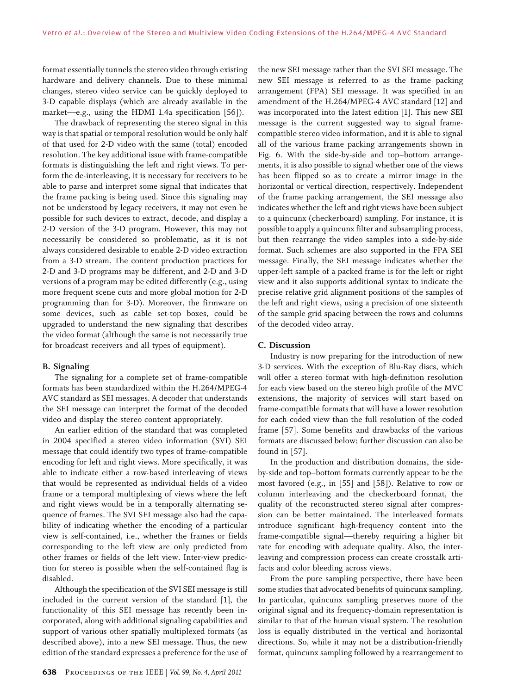format essentially tunnels the stereo video through existing hardware and delivery channels. Due to these minimal changes, stereo video service can be quickly deployed to 3-D capable displays (which are already available in the market—e.g., using the HDMI 1.4a specification  $[56]$ ).

The drawback of representing the stereo signal in this way is that spatial or temporal resolution would be only half of that used for 2-D video with the same (total) encoded resolution. The key additional issue with frame-compatible formats is distinguishing the left and right views. To perform the de-interleaving, it is necessary for receivers to be able to parse and interpret some signal that indicates that the frame packing is being used. Since this signaling may not be understood by legacy receivers, it may not even be possible for such devices to extract, decode, and display a 2-D version of the 3-D program. However, this may not necessarily be considered so problematic, as it is not always considered desirable to enable 2-D video extraction from a 3-D stream. The content production practices for 2-D and 3-D programs may be different, and 2-D and 3-D versions of a program may be edited differently (e.g., using more frequent scene cuts and more global motion for 2-D programming than for 3-D). Moreover, the firmware on some devices, such as cable set-top boxes, could be upgraded to understand the new signaling that describes the video format (although the same is not necessarily true for broadcast receivers and all types of equipment).

## B. Signaling

The signaling for a complete set of frame-compatible formats has been standardized within the H.264/MPEG-4 AVC standard as SEI messages. A decoder that understands the SEI message can interpret the format of the decoded video and display the stereo content appropriately.

An earlier edition of the standard that was completed in 2004 specified a stereo video information (SVI) SEI message that could identify two types of frame-compatible encoding for left and right views. More specifically, it was able to indicate either a row-based interleaving of views that would be represented as individual fields of a video frame or a temporal multiplexing of views where the left and right views would be in a temporally alternating sequence of frames. The SVI SEI message also had the capability of indicating whether the encoding of a particular view is self-contained, i.e., whether the frames or fields corresponding to the left view are only predicted from other frames or fields of the left view. Inter-view prediction for stereo is possible when the self-contained flag is disabled.

Although the specification of the SVI SEI message is still included in the current version of the standard [1], the functionality of this SEI message has recently been incorporated, along with additional signaling capabilities and support of various other spatially multiplexed formats (as described above), into a new SEI message. Thus, the new edition of the standard expresses a preference for the use of the new SEI message rather than the SVI SEI message. The new SEI message is referred to as the frame packing arrangement (FPA) SEI message. It was specified in an amendment of the H.264/MPEG-4 AVC standard [12] and was incorporated into the latest edition [1]. This new SEI message is the current suggested way to signal framecompatible stereo video information, and it is able to signal all of the various frame packing arrangements shown in Fig. 6. With the side-by-side and top–bottom arrangements, it is also possible to signal whether one of the views has been flipped so as to create a mirror image in the horizontal or vertical direction, respectively. Independent of the frame packing arrangement, the SEI message also indicates whether the left and right views have been subject to a quincunx (checkerboard) sampling. For instance, it is possible to apply a quincunx filter and subsampling process, but then rearrange the video samples into a side-by-side format. Such schemes are also supported in the FPA SEI message. Finally, the SEI message indicates whether the upper-left sample of a packed frame is for the left or right view and it also supports additional syntax to indicate the precise relative grid alignment positions of the samples of the left and right views, using a precision of one sixteenth of the sample grid spacing between the rows and columns of the decoded video array.

#### C. Discussion

Industry is now preparing for the introduction of new 3-D services. With the exception of Blu-Ray discs, which will offer a stereo format with high-definition resolution for each view based on the stereo high profile of the MVC extensions, the majority of services will start based on frame-compatible formats that will have a lower resolution for each coded view than the full resolution of the coded frame [57]. Some benefits and drawbacks of the various formats are discussed below; further discussion can also be found in [57].

In the production and distribution domains, the sideby-side and top–bottom formats currently appear to be the most favored (e.g., in [55] and [58]). Relative to row or column interleaving and the checkerboard format, the quality of the reconstructed stereo signal after compression can be better maintained. The interleaved formats introduce significant high-frequency content into the frame-compatible signal—thereby requiring a higher bit rate for encoding with adequate quality. Also, the interleaving and compression process can create crosstalk artifacts and color bleeding across views.

From the pure sampling perspective, there have been some studies that advocated benefits of quincunx sampling. In particular, quincunx sampling preserves more of the original signal and its frequency-domain representation is similar to that of the human visual system. The resolution loss is equally distributed in the vertical and horizontal directions. So, while it may not be a distribution-friendly format, quincunx sampling followed by a rearrangement to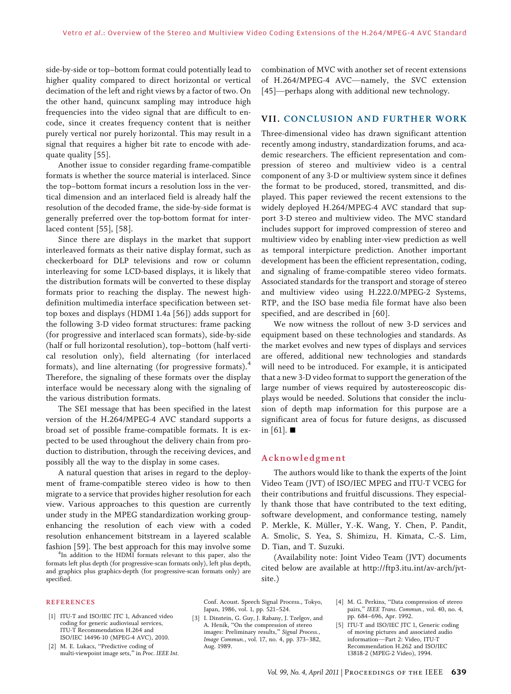side-by-side or top–bottom format could potentially lead to higher quality compared to direct horizontal or vertical decimation of the left and right views by a factor of two. On the other hand, quincunx sampling may introduce high frequencies into the video signal that are difficult to encode, since it creates frequency content that is neither purely vertical nor purely horizontal. This may result in a signal that requires a higher bit rate to encode with adequate quality [55].

Another issue to consider regarding frame-compatible formats is whether the source material is interlaced. Since the top–bottom format incurs a resolution loss in the vertical dimension and an interlaced field is already half the resolution of the decoded frame, the side-by-side format is generally preferred over the top-bottom format for interlaced content [55], [58].

Since there are displays in the market that support interleaved formats as their native display format, such as checkerboard for DLP televisions and row or column interleaving for some LCD-based displays, it is likely that the distribution formats will be converted to these display formats prior to reaching the display. The newest highdefinition multimedia interface specification between settop boxes and displays (HDMI 1.4a [56]) adds support for the following 3-D video format structures: frame packing (for progressive and interlaced scan formats), side-by-side (half or full horizontal resolution), top–bottom (half vertical resolution only), field alternating (for interlaced formats), and line alternating (for progressive formats).<sup>4</sup> Therefore, the signaling of these formats over the display interface would be necessary along with the signaling of the various distribution formats.

The SEI message that has been specified in the latest version of the H.264/MPEG-4 AVC standard supports a broad set of possible frame-compatible formats. It is expected to be used throughout the delivery chain from production to distribution, through the receiving devices, and possibly all the way to the display in some cases.

A natural question that arises in regard to the deployment of frame-compatible stereo video is how to then migrate to a service that provides higher resolution for each view. Various approaches to this question are currently under study in the MPEG standardization working groupenhancing the resolution of each view with a coded resolution enhancement bitstream in a layered scalable fashion [59]. The best approach for this may involve some

<sup>4</sup>In addition to the HDMI formats relevant to this paper, also the formats left plus depth (for progressive-scan formats only), left plus depth, and graphics plus graphics-depth (for progressive-scan formats only) are specified.

combination of MVC with another set of recent extensions of H.264/MPEG-4 AVC—namely, the SVC extension [45]-perhaps along with additional new technology.

## VII. CONCLUSION AND FURTHER WORK

Three-dimensional video has drawn significant attention recently among industry, standardization forums, and academic researchers. The efficient representation and compression of stereo and multiview video is a central component of any 3-D or multiview system since it defines the format to be produced, stored, transmitted, and displayed. This paper reviewed the recent extensions to the widely deployed H.264/MPEG-4 AVC standard that support 3-D stereo and multiview video. The MVC standard includes support for improved compression of stereo and multiview video by enabling inter-view prediction as well as temporal interpicture prediction. Another important development has been the efficient representation, coding, and signaling of frame-compatible stereo video formats. Associated standards for the transport and storage of stereo and multiview video using H.222.0/MPEG-2 Systems, RTP, and the ISO base media file format have also been specified, and are described in [60].

We now witness the rollout of new 3-D services and equipment based on these technologies and standards. As the market evolves and new types of displays and services are offered, additional new technologies and standards will need to be introduced. For example, it is anticipated that a new 3-D video format to support the generation of the large number of views required by autostereoscopic displays would be needed. Solutions that consider the inclusion of depth map information for this purpose are a significant area of focus for future designs, as discussed in [61].  $\blacksquare$ 

## Acknowledgment

The authors would like to thank the experts of the Joint Video Team (JVT) of ISO/IEC MPEG and ITU-T VCEG for their contributions and fruitful discussions. They especially thank those that have contributed to the text editing, software development, and conformance testing, namely P. Merkle, K. Müller, Y.-K. Wang, Y. Chen, P. Pandit, A. Smolic, S. Yea, S. Shimizu, H. Kimata, C.-S. Lim, D. Tian, and T. Suzuki.

(Availability note: Joint Video Team (JVT) documents cited below are available at http://ftp3.itu.int/av-arch/jvtsite.)

#### **REFERENCES**

- [1] ITU-T and ISO/IEC JTC 1, Advanced video coding for generic audiovisual services, ITU-T Recommendation H.264 and ISO/IEC 14496-10 (MPEG-4 AVC), 2010.
- [2] M. E. Lukacs, "Predictive coding of multi-viewpoint image sets," in  $\overline{P}$ roc. IEEE Int.

Conf. Acoust. Speech Signal Process., Tokyo, Japan, 1986, vol. 1, pp. 521–524.

- [3] I. Dinstein, G. Guy, J. Rabany, J. Tzelgov, and A. Henik, "On the compression of stereo images: Preliminary results," Signal Process., Image Commun., vol. 17, no. 4, pp. 373–382, Aug. 1989.
- [4] M. G. Perkins, "Data compression of stereo pairs," IEEE Trans. Commun., vol. 40, no. 4, pp. 684–696, Apr. 1992.
- [5] ITU-T and ISO/IEC JTC 1, Generic coding of moving pictures and associated audio information-Part 2: Video, ITU-T Recommendation H.262 and ISO/IEC 13818-2 (MPEG-2 Video), 1994.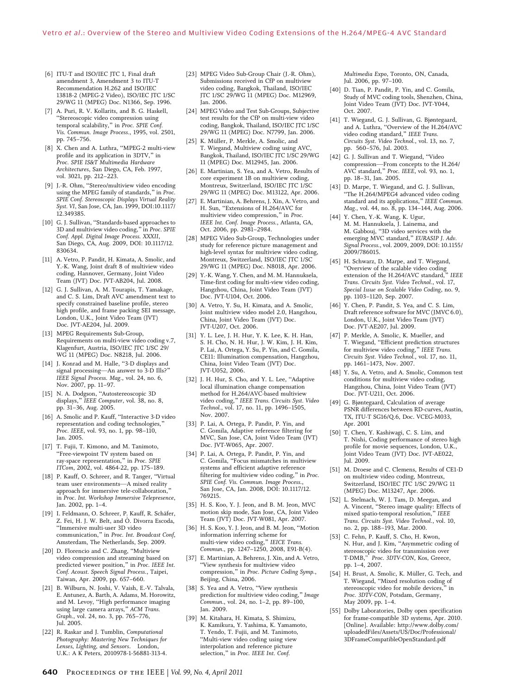- [6] ITU-T and ISO/IEC JTC 1, Final draft amendment 3, Amendment 3 to ITU-T Recommendation H.262 and ISO/IEC 13818-2 (MPEG-2 Video), ISO/IEC JTC 1/SC 29/WG 11 (MPEG) Doc. N1366, Sep. 1996.
- [7] A. Puri, R. V. Kollarits, and B. G. Haskell, "Stereoscopic video compression using temporal scalability,[ in Proc. SPIE Conf. Vis. Commun. Image Process., 1995, vol. 2501, pp. 745–756.
- [8] X. Chen and A. Luthra, "MPEG-2 multi-view profile and its application in 3DTV," in<br>Proc. SPIE IS&T Multimedia Hardware Architectures, San Diego, CA, Feb. 1997, vol. 3021, pp. 212–223.
- [9] J.-R. Ohm, "Stereo/multiview video encoding using the MPEG family of standards," in Proc. SPIE Conf. Stereoscopic Displays Virtual Reality Syst. VI, San Jose, CA, Jan. 1999, DOI:10.1117/ 12.349385.
- $\left[ 10\right] \;$  G. J. Sullivan, "Standards-based approaches to 3D and multiview video coding," in Proc. SPIE Conf. Appl. Digital Image Process. XXXII, San Diego, CA, Aug. 2009, DOI: 10.1117/12. 830634.
- [11] A. Vetro, P. Pandit, H. Kimata, A. Smolic, and Y.-K. Wang, Joint draft 8 of multiview video coding, Hannover, Germany, Joint Video Team (JVT) Doc. JVT-AB204, Jul. 2008.
- [12] G. J. Sullivan, A. M. Tourapis, T. Yamakage, and C. S. Lim, Draft AVC amendment text to specify constrained baseline profile, stereo high profile, and frame packing SEI message, London, U.K., Joint Video Team (JVT) Doc. JVT-AE204, Jul. 2009.
- [13] MPEG Requirements Sub-Group, Requirements on multi-view video coding v.7, Klagenfurt, Austria, ISO/IEC JTC 1/SC 29/ WG 11 (MPEG) Doc. N8218, Jul. 2006.
- [14] J. Konrad and M. Halle, "3-D displays and signal processing—An answer to 3-D Ills?" IEEE Signal Process. Mag., vol. 24, no. 6, Nov. 2007, pp. 11–97.
- [15] N. A. Dodgson, "Autostereoscopic 3D displays," IEEE Computer, vol. 38, no. 8, pp. 31–36, Aug. 2005.
- [16] A. Smolic and P. Kauff, "Interactive 3-D video representation and coding technologies,[ Proc. IEEE, vol. 93, no. 1, pp. 98–110, Jan. 2005.
- [17] T. Fujii, T. Kimono, and M. Tanimoto, "Free-viewpoint TV system based on ray-space representation," in Proc. SPIE ITCom, 2002, vol. 4864-22, pp. 175-189.
- [18] P. Kauff, O. Schreer, and R. Tanger, "Virtual team user environments—A mixed reality approach for immersive tele-collaboration, in Proc. Int. Workshop Immersive Telepresence, Jan. 2002, pp. 1–4.
- [19] I. Feldmann, O. Schreer, P. Kauff, R. Schäfer, Z. Fei, H. J. W. Belt, and  $\bigcirc$ . Divorra Escoda, BImmersive multi-user 3D video communication," in Proc. Int. Broadcast Conf, Amsterdam, The Netherlands, Sep. 2009.
- [20] D. Florencio and C. Zhang, "Multiview video compression and streaming based on predicted viewer position," in Proc. IEEE Int. Conf. Acoust. Speech Signal Process., Taipei, Taiwan, Apr. 2009, pp. 657–660.
- [21] B. Wilburn, N. Joshi, V. Vaish, E.-V. Talvala, E. Antunez, A. Barth, A. Adams, M. Horowitz, and M. Levoy, "High performance imaging using large camera arrays," ACM Trans. Graph., vol. 24, no. 3, pp. 765–776, Jul. 2005.
- [22] R. Raskar and J. Tumblin, Computational Photography: Mastering New Techniques for Lenses, Lighting, and Sensors. London, U.K.: A K Peters, 2010978-1-56881-313-4.
- [23] MPEG Video Sub-Group Chair (J.-R. Ohm), Submissions received in CfP on multiview video coding, Bangkok, Thailand, ISO/IEC JTC 1/SC 29/WG 11 (MPEG) Doc. M12969, Jan. 2006.
- [24] MPEG Video and Test Sub-Groups, Subjective test results for the CfP on multi-view video coding, Bangkok, Thailand, ISO/IEC JTC 1/SC 29/WG 11 (MPEG) Doc. N7799, Jan. 2006.
- [25] K. Müller, P. Merkle, A. Smolic, and T. Wiegand, Multiview coding using AVC, Bangkok, Thailand, ISO/IEC JTC 1/SC 29/WG 11 (MPEG) Doc. M12945, Jan. 2006.
- [26] E. Martinian, S. Yea, and A. Vetro, Results of core experiment 1B on multiview coding, Montreux, Switzerland, ISO/IEC JTC 1/SC 29/WG 11 (MPEG) Doc. M13122, Apr. 2006.
- [27] E. Martinian, A. Behrens, J. Xin, A. Vetro, and H. Sun, "Extensions of H.264/AVC for multiview video compression," in Proc. IEEE Int. Conf. Image Process., Atlanta, GA, Oct. 2006, pp. 2981–2984.
- [28] MPEG Video Sub-Group, Technologies under study for reference picture management and high-level syntax for multiview video coding, Montreux, Switzerland, ISO/IEC JTC 1/SC 29/WG 11 (MPEG) Doc. N8018, Apr. 2006.
- [29] Y.-K. Wang, Y. Chen, and M. M. Hannuksela, Time-first coding for multi-view video coding, Hangzhou, China, Joint Video Team (JVT) Doc. JVT-U104, Oct. 2006.
- [30] A. Vetro, Y. Su, H. Kimata, and A. Smolic, Joint multiview video model 2.0, Hangzhou, China, Joint Video Team (JVT) Doc. JVT-U207, Oct. 2006.
- [31] Y. L. Lee, J. H. Hur, Y. K. Lee, K. H. Han, S. H. Cho, N. H. Hur, J. W. Kim, J. H. Kim, P. Lai, A. Ortega, Y. Su, P. Yin, and C. Gomila, CE11: Illumination compensation, Hangzhou, China, Joint Video Team (JVT) Doc. JVT-U052, 2006.
- [32] J. H. Hur, S. Cho, and Y. L. Lee, "Adaptive local illumination change compensation method for H.264/AVC-based multiview video coding," IEEE Trans. Circuits Syst. Video Technol., vol. 17, no. 11, pp. 1496–1505, Nov. 2007.
- [33] P. Lai, A. Ortega, P. Pandit, P. Yin, and C. Gomila, Adaptive reference filtering for MVC, San Jose, CA, Joint Video Team (JVT) Doc. JVT-W065, Apr. 2007.
- [34] P. Lai, A. Ortega, P. Pandit, P. Yin, and C. Gomila, "Focus mismatches in multiview systems and efficient adaptive reference filtering for multiview video coding," in Proc. SPIE Conf. Vis. Commun. Image Process. San Jose, CA, Jan. 2008, DOI: 10.1117/12. 769215.
- [35] H. S. Koo, Y. J. Jeon, and B. M. Jeon, MVC motion skip mode, San Jose, CA, Joint Video Team (JVT) Doc. JVT-W081, Apr. 2007.
- [36] H. S. Koo, Y. J. Jeon, and B. M. Jeon, "Motion information inferring scheme for multi-view video coding," IEICE Trans.<br>Commun., pp. 1247–1250, 2008, E91-B(4).
- [37] E. Martinian, A. Behrens, J. Xin, and A. Vetro, BView synthesis for multiview video compression," in Proc. Picture Coding Symp. Beijing, China, 2006.
- [38] S. Yea and A. Vetro, "View synthesis prediction for multiview video coding," Image Commun., vol. 24, no. 1–2, pp. 89–100, Jan. 2009.
- [39] M. Kitahara, H. Kimata, S. Shimizu, K. Kamikura, Y. Yashima, K. Yamamoto, T. Yendo, T. Fujii, and M. Tanimoto, "Multi-view video coding using view interpolation and reference picture selection," in Proc. IEEE Int. Conf.

Multimedia Expo, Toronto, ON, Canada, Jul. 2006, pp. 97–100.

- [40] D. Tian, P. Pandit, P. Yin, and C. Gomila, Study of MVC coding tools, Shenzhen, China, Joint Video Team (JVT) Doc. JVT-Y044, Oct. 2007.
- [41] T. Wiegand, G. J. Sullivan, G. Bjøntegaard, and A. Luthra, "Overview of the H.264/AVC video coding standard," IEEE Trans. Circuits Syst. Video Technol., vol. 13, no. 7, pp. 560–576, Jul. 2003.
- [42] G. J. Sullivan and T. Wiegand, "Video compression-From concepts to the H.264/ AVC standard," Proc. IEEE, vol. 93, no. 1, pp. 18–31, Jan. 2005.
- [43] D. Marpe, T. Wiegand, and G. J. Sullivan, "The H.264/MPEG4 advanced video coding standard and its applications,[ IEEE Commun. Mag., vol. 44, no. 8, pp. 134–144, Aug. 2006.
- [44] Y. Chen, Y.-K. Wang, K. Ugur, M. M. Hannuksela, J. Lainema, and M. Gabbouj, "3D video services with the emerging MVC standard," EURASIP J. Adv. Signal Process., vol. 2009, 2009, DOI: 10.1155/ 2009/786015.
- [45] H. Schwarz, D. Marpe, and T. Wiegand, "Overview of the scalable video coding<br>extension of the H.264/AVC standard," IEEE Trans. Circuits Syst. Video Technol., vol. 17, Special Issue on Scalable Video Coding, no. 9, pp. 1103–1120, Sep. 2007.
- [46] Y. Chen, P. Pandit, S. Yea, and C. S. Lim, Draft reference software for MVC (JMVC 6.0), London, U.K., Joint Video Team (JVT) Doc. JVT-AE207, Jul. 2009.
- [47] P. Merkle, A. Smolic, K. Mueller, and T. Wiegand, "Efficient prediction structures for multiview video coding," IEEE Trans. Circuits Syst. Video Technol., vol. 17, no. 11, pp. 1461–1473, Nov. 2007.
- [48] Y. Su, A. Vetro, and A. Smolic, Common test conditions for multiview video coding, Hangzhou, China, Joint Video Team (JVT) Doc. JVT-U211, Oct. 2006.
- [49] G. Bjøntegaard, Calculation of average PSNR differences between RD-curves, Austin, TX, ITU-T SG16/Q.6, Doc. VCEG-M033, Apr. 2001
- [50] T. Chen, Y. Kashiwagi, C. S. Lim, and T. Nishi, Coding performance of stereo high profile for movie sequences, London, U.K., Joint Video Team (JVT) Doc. JVT-AE022, Jul. 2009.
- [51] M. Droese and C. Clemens, Results of CE1-D on multiview video coding, Montreux, Switzerland, ISO/IEC JTC 1/SC 29/WG 11 (MPEG) Doc. M13247, Apr. 2006.
- [52] L. Stelmach, W. J. Tam, D. Meegan, and<br>A. Vincent, "Stereo image quality: Effects of mixed spatio-temporal resolution," IEEE Trans. Circuits Syst. Video Technol., vol. 10, no. 2, pp. 188–193, Mar. 2000.
- [53] C. Fehn, P. Kauff, S. Cho, H. Kwon, N. Hur, and J. Kim, "Asymmetric coding of stereoscopic video for transmission over T-DMB,'' Proc. 3DTV-CON, Kos, Greece, pp. 1–4, 2007.
- [54] H. Brust, A. Smolic, K. Müller, G. Tech, and T. Wiegand, "Mixed resolution coding of stereoscopic video for mobile devices," in Proc. 3DTV-CON, Potsdam, Germany, May 2009, pp. 1–4.
- [55] Dolby Laboratories, Dolby open specification for frame-compatible 3D systems, Apr. 2010. [Online]. Available: http://www.dolby.com/ uploadedFiles/Assets/US/Doc/Professional/ 3DFrameCompatibleOpenStandard.pdf.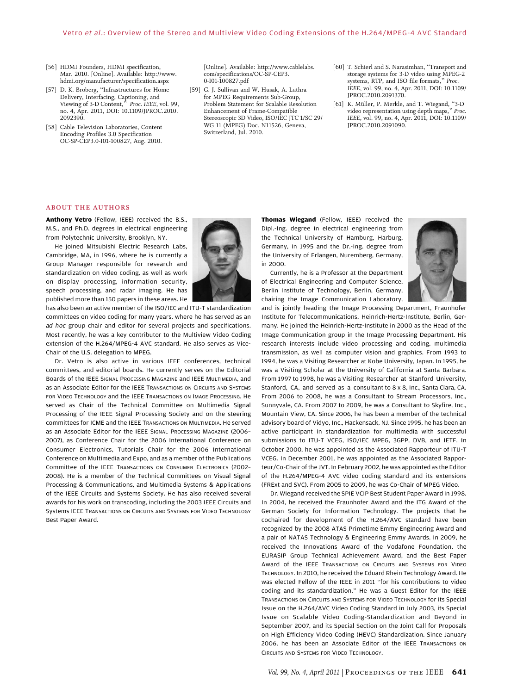- [56] HDMI Founders, HDMI specification, Mar. 2010. [Online]. Available: http://www. hdmi.org/manufacturer/specification.aspx.
- [57] D. K. Broberg, "Infrastructures for Home Delivery, Interfacing, Captioning, and Viewing of 3-D Content," Proc. IEEE, vol. 99, no. 4, Apr. 2011, DOI: 10.1109/JPROC.2010. 2092390.
- [58] Cable Television Laboratories, Content Encoding Profiles 3.0 Specification OC-SP-CEP3.0-I01-100827, Aug. 2010.

[Online]. Available: http://www.cablelabs. com/specifications/OC-SP-CEP3. 0-I01-100827.pdf.

- [59] G. J. Sullivan and W. Husak, A. Luthra for MPEG Requirements Sub-Group, Problem Statement for Scalable Resolution Enhancement of Frame-Compatible Stereoscopic 3D Video, ISO/IEC JTC 1/SC 29/ WG 11 (MPEG) Doc. N11526, Geneva, Switzerland, Jul. 2010.
- [60] T. Schierl and S. Narasimhan, "Transport and storage systems for 3-D video using MPEG-2<br>systems. RTP, and ISO file formats," Proc. systems, RTP, and ISO file formats, IEEE, vol. 99, no. 4, Apr. 2011, DOI: 10.1109/ JPROC.2010.2091370.
- [61] K. Müller, P. Merkle, and T. Wiegand, "3-D video representation using depth maps," Proc. IEEE, vol. 99, no. 4, Apr. 2011, DOI: 10.1109/ JPROC.2010.2091090.

#### ABOUT THE AUTHORS

Anthony Vetro (Fellow, IEEE) received the B.S., M.S., and Ph.D. degrees in electrical engineering from Polytechnic University, Brooklyn, NY.

He joined Mitsubishi Electric Research Labs, Cambridge, MA, in 1996, where he is currently a Group Manager responsible for research and standardization on video coding, as well as work on display processing, information security, speech processing, and radar imaging. He has published more than 150 papers in these areas. He

has also been an active member of the ISO/IEC and ITU-T standardization committees on video coding for many years, where he has served as an ad hoc group chair and editor for several projects and specifications. Most recently, he was a key contributor to the Multiview Video Coding extension of the H.264/MPEG-4 AVC standard. He also serves as Vice-Chair of the U.S. delegation to MPEG.

Dr. Vetro is also active in various IEEE conferences, technical committees, and editorial boards. He currently serves on the Editorial Boards of the IEEE SIGNAL PROCESSING MAGAZINE and IEEE MULTIMEDIA, and as an Associate Editor for the IEEE TRANSACTIONS ON CIRCUITS AND SYSTEMS FOR VIDEO TECHNOLOGY and the IEEE TRANSACTIONS ON IMAGE PROCESSING. He served as Chair of the Technical Committee on Multimedia Signal Processing of the IEEE Signal Processing Society and on the steering committees for ICME and the IEEE TRANSACTIONS ON MULTIMEDIA. He served as an Associate Editor for the IEEE SIGNAL PROCESSING MAGAZINE (2006– 2007), as Conference Chair for the 2006 International Conference on Consumer Electronics, Tutorials Chair for the 2006 International Conference on Multimedia and Expo, and as a member of the Publications Committee of the IEEE TRANSACTIONS ON CONSUMER ELECTRONICS (2002– 2008). He is a member of the Technical Committees on Visual Signal Processing & Communications, and Multimedia Systems & Applications of the IEEE Circuits and Systems Society. He has also received several awards for his work on transcoding, including the 2003 IEEE Circuits and Systems IEEE TRANSACTIONS ON CIRCUITS AND SYSTEMS FOR VIDEO TECHNOLOGY Best Paper Award.

Thomas Wiegand (Fellow, IEEE) received the Dipl.-Ing. degree in electrical engineering from the Technical University of Hamburg, Harburg, Germany, in 1995 and the Dr.-Ing. degree from the University of Erlangen, Nuremberg, Germany, in 2000.

Currently, he is a Professor at the Department of Electrical Engineering and Computer Science, Berlin Institute of Technology, Berlin, Germany, chairing the Image Communication Laboratory,



and is jointly heading the Image Processing Department, Fraunhofer Institute for Telecommunications, Heinrich-Hertz-Institute, Berlin, Germany. He joined the Heinrich-Hertz-Institute in 2000 as the Head of the Image Communication group in the Image Processing Department. His research interests include video processing and coding, multimedia transmission, as well as computer vision and graphics. From 1993 to 1994, he was a Visiting Researcher at Kobe University, Japan. In 1995, he was a Visiting Scholar at the University of California at Santa Barbara. From 1997 to 1998, he was a Visiting Researcher at Stanford University, Stanford, CA, and served as a consultant to 8 x 8, Inc., Santa Clara, CA. From 2006 to 2008, he was a Consultant to Stream Processors, Inc., Sunnyvale, CA. From 2007 to 2009, he was a Consultant to Skyfire, Inc., Mountain View, CA. Since 2006, he has been a member of the technical advisory board of Vidyo, Inc., Hackensack, NJ. Since 1995, he has been an active participant in standardization for multimedia with successful submissions to ITU-T VCEG, ISO/IEC MPEG, 3GPP, DVB, and IETF. In October 2000, he was appointed as the Associated Rapporteur of ITU-T VCEG. In December 2001, he was appointed as the Associated Rapporteur/Co-Chair of the JVT. In February 2002, he was appointed as the Editor of the H.264/MPEG-4 AVC video coding standard and its extensions (FRExt and SVC). From 2005 to 2009, he was Co-Chair of MPEG Video.

Dr. Wiegand received the SPIE VCIP Best Student Paper Award in 1998. In 2004, he received the Fraunhofer Award and the ITG Award of the German Society for Information Technology. The projects that he cochaired for development of the H.264/AVC standard have been recognized by the 2008 ATAS Primetime Emmy Engineering Award and a pair of NATAS Technology & Engineering Emmy Awards. In 2009, he received the Innovations Award of the Vodafone Foundation, the EURASIP Group Technical Achievement Award, and the Best Paper Award of the IEEE TRANSACTIONS ON CIRCUITS AND SYSTEMS FOR VIDEO TECHNOLOGY. In 2010, he received the Eduard Rhein Technology Award. He was elected Fellow of the IEEE in 2011 "for his contributions to video coding and its standardization." He was a Guest Editor for the IEEE TRANSACTIONS ON CIRCUITS AND SYSTEMS FOR VIDEO TECHNOLOGY for its Special Issue on the H.264/AVC Video Coding Standard in July 2003, its Special Issue on Scalable Video Coding-Standardization and Beyond in September 2007, and its Special Section on the Joint Call for Proposals on High Efficiency Video Coding (HEVC) Standardization. Since January 2006, he has been an Associate Editor of the IEEE TRANSACTIONS ON CIRCUITS AND SYSTEMS FOR VIDEO TECHNOLOGY.